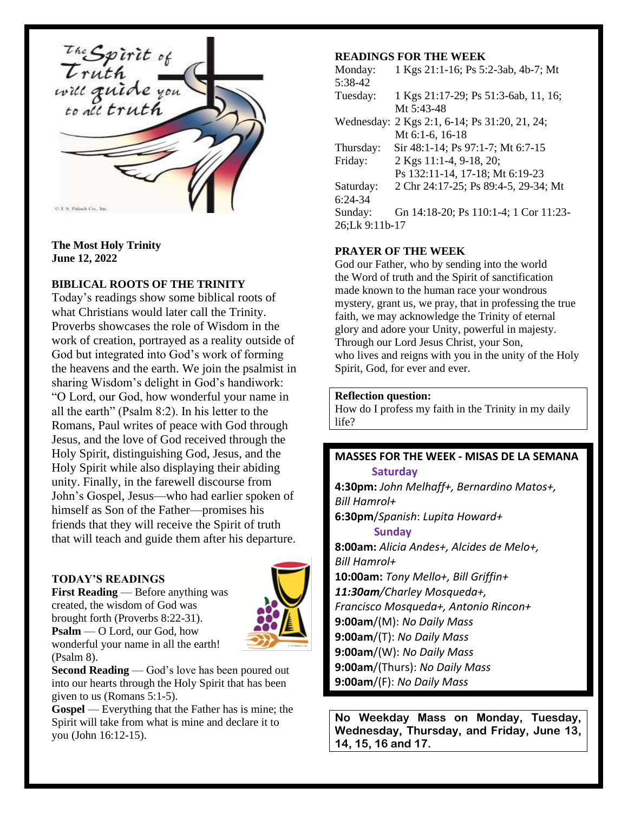

#### **The Most Holy Trinity June 12, 2022**

# **BIBLICAL ROOTS OF THE TRINITY**

Today's readings show some biblical roots of what Christians would later call the Trinity. Proverbs showcases the role of Wisdom in the work of creation, portrayed as a reality outside of God but integrated into God's work of forming the heavens and the earth. We join the psalmist in sharing Wisdom's delight in God's handiwork: "O Lord, our God, how wonderful your name in all the earth" (Psalm 8:2). In his letter to the Romans, Paul writes of peace with God through Jesus, and the love of God received through the Holy Spirit, distinguishing God, Jesus, and the Holy Spirit while also displaying their abiding unity. Finally, in the farewell discourse from John's Gospel, Jesus—who had earlier spoken of himself as Son of the Father—promises his friends that they will receive the Spirit of truth that will teach and guide them after his departure.

# **TODAY'S READINGS**

**First Reading** — Before anything was created, the wisdom of God was brought forth (Proverbs 8:22-31). **Psalm** — O Lord, our God, how wonderful your name in all the earth! (Psalm 8).



**Second Reading** — God's love has been poured out into our hearts through the Holy Spirit that has been given to us (Romans 5:1-5).

**Gospel** — Everything that the Father has is mine; the Spirit will take from what is mine and declare it to you (John 16:12-15).

# **READINGS FOR THE WEEK**

Monday: 1 Kgs 21:1-16; Ps 5:2-3ab, 4b-7; Mt 5:38-42 Tuesday: 1 Kgs 21:17-29; Ps 51:3-6ab, 11, 16; Mt 5:43-48 Wednesday: 2 Kgs 2:1, 6-14; Ps 31:20, 21, 24; Mt 6:1-6, 16-18 Thursday: Sir 48:1-14; Ps 97:1-7; Mt 6:7-15 Friday: 2 Kgs 11:1-4, 9-18, 20; Ps 132:11-14, 17-18; Mt 6:19-23 Saturday: 2 Chr 24:17-25; Ps 89:4-5, 29-34; Mt 6:24-34 Sunday: Gn 14:18-20; Ps 110:1-4; 1 Cor 11:23- 26;Lk 9:11b-17

### **PRAYER OF THE WEEK**

God our Father, who by sending into the world the Word of truth and the Spirit of sanctification made known to the human race your wondrous mystery, grant us, we pray, that in professing the true faith, we may acknowledge the Trinity of eternal glory and adore your Unity, powerful in majesty. Through our Lord Jesus Christ, your Son, who lives and reigns with you in the unity of the Holy Spirit, God, for ever and ever.

#### **Reflection question:**

How do I profess my faith in the Trinity in my daily life?

### **MASSES FOR THE WEEK - MISAS DE LA SEMANA Saturday**

**4:30pm:** *John Melhaff+, Bernardino Matos+, Bill Hamrol+* **6:30pm**/*Spanish*: *Lupita Howard+*  **Sunday**

**8:00am:** *Alicia Andes+, Alcides de Melo+, Bill Hamrol+* **10:00am:** *Tony Mello+, Bill Griffin+ 11:30am/Charley Mosqueda+, Francisco Mosqueda+, Antonio Rincon+* **9:00am**/(M): *No Daily Mass* **9:00am**/(T): *No Daily Mass* **9:00am**/(W): *No Daily Mass* **9:00am**/(Thurs): *No Daily Mass* **9:00am**/(F): *No Daily Mass*

**No Weekday Mass on Monday, Tuesday, Wednesday, Thursday, and Friday, June 13, 14, 15, 16 and 17.**